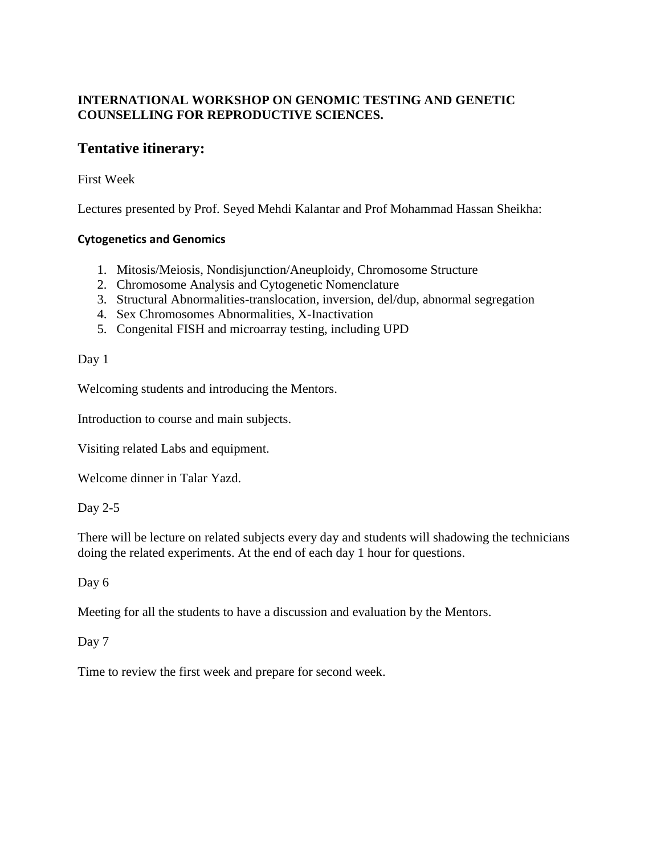## **INTERNATIONAL WORKSHOP ON GENOMIC TESTING AND GENETIC COUNSELLING FOR REPRODUCTIVE SCIENCES.**

# **Tentative itinerary:**

### First Week

Lectures presented by Prof. Seyed Mehdi Kalantar and Prof Mohammad Hassan Sheikha:

#### **Cytogenetics and Genomics**

- 1. Mitosis/Meiosis, Nondisjunction/Aneuploidy, Chromosome Structure
- 2. Chromosome Analysis and Cytogenetic Nomenclature
- 3. Structural Abnormalities-translocation, inversion, del/dup, abnormal segregation
- 4. Sex Chromosomes Abnormalities, X-Inactivation
- 5. Congenital FISH and microarray testing, including UPD

#### Day 1

Welcoming students and introducing the Mentors.

Introduction to course and main subjects.

Visiting related Labs and equipment.

Welcome dinner in Talar Yazd.

Day 2-5

There will be lecture on related subjects every day and students will shadowing the technicians doing the related experiments. At the end of each day 1 hour for questions.

Day 6

Meeting for all the students to have a discussion and evaluation by the Mentors.

#### Day 7

Time to review the first week and prepare for second week.